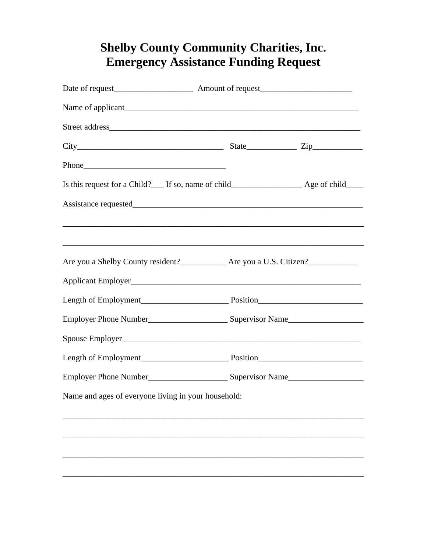## **Shelby County Community Charities, Inc. Emergency Assistance Funding Request**

| Name and ages of everyone living in your household: |  |
|-----------------------------------------------------|--|
|                                                     |  |
|                                                     |  |
|                                                     |  |
|                                                     |  |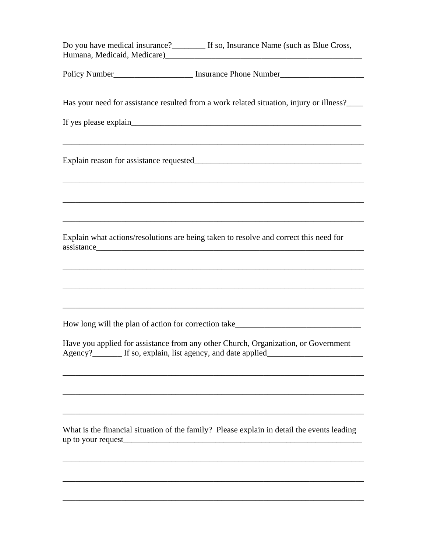| Do you have medical insurance?____________ If so, Insurance Name (such as Blue Cross,<br>Humana, Medicaid, Medicare) [19] Manuscripton and Medicare and Medicare and Medicare and Medicare and Medicare |  |
|---------------------------------------------------------------------------------------------------------------------------------------------------------------------------------------------------------|--|
| Policy Number____________________________ Insurance Phone Number_________________                                                                                                                       |  |
| Has your need for assistance resulted from a work related situation, injury or illness?____                                                                                                             |  |
|                                                                                                                                                                                                         |  |
|                                                                                                                                                                                                         |  |
|                                                                                                                                                                                                         |  |
| Explain what actions/resolutions are being taken to resolve and correct this need for                                                                                                                   |  |
|                                                                                                                                                                                                         |  |
|                                                                                                                                                                                                         |  |
| How long will the plan of action for correction take____________________________                                                                                                                        |  |
| Have you applied for assistance from any other Church, Organization, or Government<br>Agency?__________ If so, explain, list agency, and date applied__________________                                 |  |
|                                                                                                                                                                                                         |  |
|                                                                                                                                                                                                         |  |
| What is the financial situation of the family? Please explain in detail the events leading<br>up to your request                                                                                        |  |
|                                                                                                                                                                                                         |  |
|                                                                                                                                                                                                         |  |